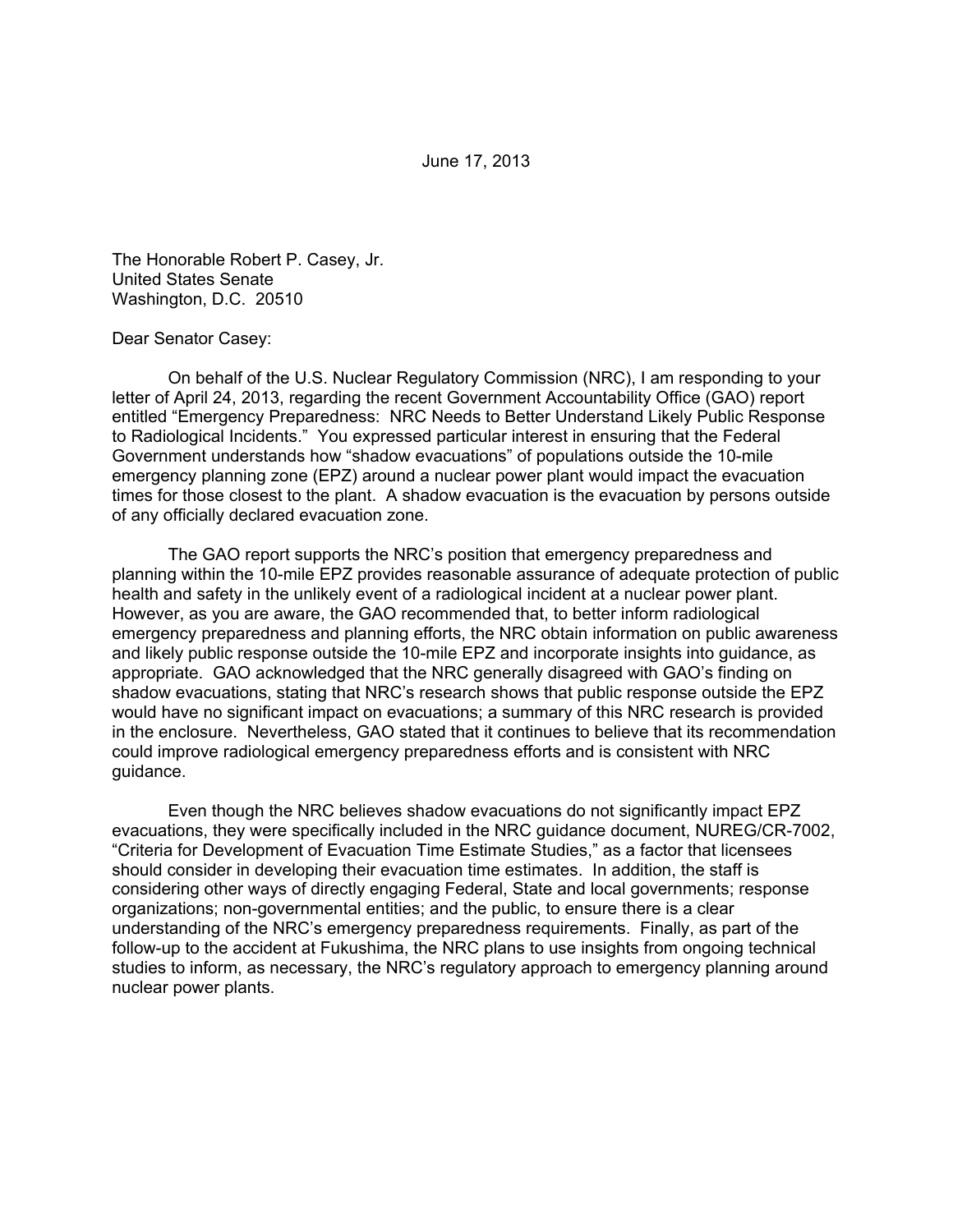June 17, 2013

The Honorable Robert P. Casey, Jr. United States Senate Washington, D.C. 20510

## Dear Senator Casey:

 On behalf of the U.S. Nuclear Regulatory Commission (NRC), I am responding to your letter of April 24, 2013, regarding the recent Government Accountability Office (GAO) report entitled "Emergency Preparedness: NRC Needs to Better Understand Likely Public Response to Radiological Incidents." You expressed particular interest in ensuring that the Federal Government understands how "shadow evacuations" of populations outside the 10-mile emergency planning zone (EPZ) around a nuclear power plant would impact the evacuation times for those closest to the plant. A shadow evacuation is the evacuation by persons outside of any officially declared evacuation zone.

The GAO report supports the NRC's position that emergency preparedness and planning within the 10-mile EPZ provides reasonable assurance of adequate protection of public health and safety in the unlikely event of a radiological incident at a nuclear power plant. However, as you are aware, the GAO recommended that, to better inform radiological emergency preparedness and planning efforts, the NRC obtain information on public awareness and likely public response outside the 10-mile EPZ and incorporate insights into guidance, as appropriate. GAO acknowledged that the NRC generally disagreed with GAO's finding on shadow evacuations, stating that NRC's research shows that public response outside the EPZ would have no significant impact on evacuations; a summary of this NRC research is provided in the enclosure. Nevertheless, GAO stated that it continues to believe that its recommendation could improve radiological emergency preparedness efforts and is consistent with NRC guidance.

Even though the NRC believes shadow evacuations do not significantly impact EPZ evacuations, they were specifically included in the NRC guidance document, NUREG/CR-7002, "Criteria for Development of Evacuation Time Estimate Studies," as a factor that licensees should consider in developing their evacuation time estimates. In addition, the staff is considering other ways of directly engaging Federal, State and local governments; response organizations; non-governmental entities; and the public, to ensure there is a clear understanding of the NRC's emergency preparedness requirements. Finally, as part of the follow-up to the accident at Fukushima, the NRC plans to use insights from ongoing technical studies to inform, as necessary, the NRC's regulatory approach to emergency planning around nuclear power plants.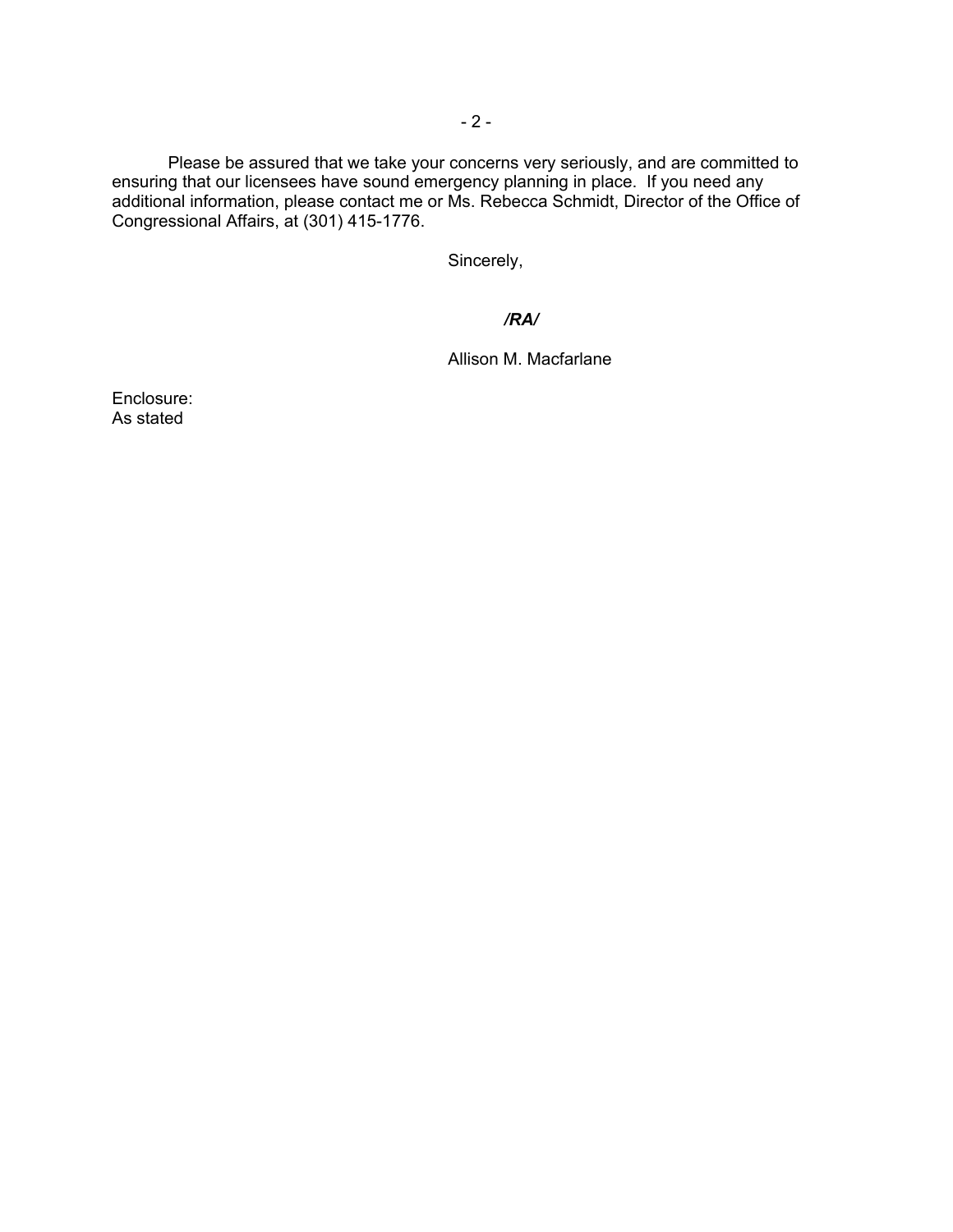Please be assured that we take your concerns very seriously, and are committed to ensuring that our licensees have sound emergency planning in place. If you need any additional information, please contact me or Ms. Rebecca Schmidt, Director of the Office of Congressional Affairs, at (301) 415-1776.

Sincerely,

## */RA/*

Allison M. Macfarlane

Enclosure: As stated